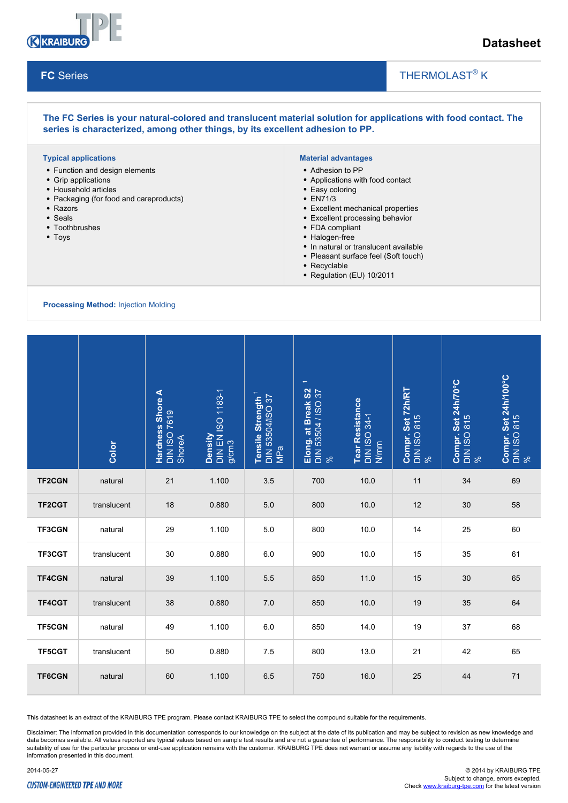

# **Datasheet**

#### **FC** Series

# THERMOLAST<sup>®</sup> K

 $\overline{\phantom{a}}$ 

#### **The FC Series is your natural-colored and translucent material solution for applications with food contact. The series is characterized, among other things, by its excellent adhesion to PP. Typical applications** Function and design elements Grip applications Household articles • Packaging (for food and careproducts) • Razors Seals • Toothbrushes • Toys **Material advantages** Adhesion to PP Applications with food contact • Easy coloring EN71/3 Excellent mechanical properties Excellent processing behavior FDA compliant • Halogen-free • In natural or translucent available • Pleasant surface feel (Soft touch) • Recyclable • Regulation (EU) 10/2011 **Processing Method:** Injection Molding  $\overline{\phantom{a}}$ DIN 53504/ISO 37 MPa **Elong. at Break S2**  1 DIN 53504 / ISO 37  $\aleph$ **Tear Resistance**   $34-1$ N/mm **Compr. Set 72h/RT**  815  $\aleph$ **Compr. Set 24h/70°C**  815  $\aleph$ **Compr. Set 24h/100°C**  Set 24h/100°C<br>0815  $\aleph$

|               | Color       | <b>Hardness Shore A</b><br>DIN ISO 7619<br>ShoreA | Density<br>DIN EN ISO 1183-1<br>g/cm3 | Tensile Strength <sup>1</sup><br>DIN 53504/ISO 37<br>MPa | Elong. at Break S2<br>DIN 53504 / ISO 37<br>% | Tear Resistance<br>DIN ISO 34-1<br>N/mm | <b>Compr. Set 72h/R1</b><br>DIN ISO 815<br>% | Compr. Set 24h/70<br>DIN ISO 815<br>% | Compr. Set 24h/10<br>DIN ISO 815<br>% |
|---------------|-------------|---------------------------------------------------|---------------------------------------|----------------------------------------------------------|-----------------------------------------------|-----------------------------------------|----------------------------------------------|---------------------------------------|---------------------------------------|
| <b>TF2CGN</b> | natural     | 21                                                | 1.100                                 | 3.5                                                      | 700                                           | 10.0                                    | 11                                           | 34                                    | 69                                    |
| <b>TF2CGT</b> | translucent | 18                                                | 0.880                                 | 5.0                                                      | 800                                           | 10.0                                    | 12                                           | 30                                    | 58                                    |
| <b>TF3CGN</b> | natural     | 29                                                | 1.100                                 | 5.0                                                      | 800                                           | 10.0                                    | 14                                           | 25                                    | 60                                    |
| TF3CGT        | translucent | 30                                                | 0.880                                 | 6.0                                                      | 900                                           | 10.0                                    | 15                                           | 35                                    | 61                                    |
| <b>TF4CGN</b> | natural     | 39                                                | 1.100                                 | 5.5                                                      | 850                                           | 11.0                                    | 15                                           | 30                                    | 65                                    |
| TF4CGT        | translucent | 38                                                | 0.880                                 | 7.0                                                      | 850                                           | 10.0                                    | 19                                           | 35                                    | 64                                    |
| <b>TF5CGN</b> | natural     | 49                                                | 1.100                                 | 6.0                                                      | 850                                           | 14.0                                    | 19                                           | 37                                    | 68                                    |
| <b>TF5CGT</b> | translucent | 50                                                | 0.880                                 | 7.5                                                      | 800                                           | 13.0                                    | 21                                           | 42                                    | 65                                    |
| <b>TF6CGN</b> | natural     | 60                                                | 1.100                                 | 6.5                                                      | 750                                           | 16.0                                    | 25                                           | 44                                    | 71                                    |

This datasheet is an extract of the KRAIBURG TPE program. Please contact KRAIBURG TPE to select the compound suitable for the requirements.

Disclaimer: The information provided in this documentation corresponds to our knowledge on the subject at the date of its publication and may be subject to revision as new knowledge and data becomes available. All values reported are typical values based on sample test results and are not a guarantee of performance. The responsibility to conduct testing to determine suitability of use for the particular process or end-use application remains with the customer. KRAIBURG TPE does not warrant or assume any liability with regards to the use of the information presented in this document.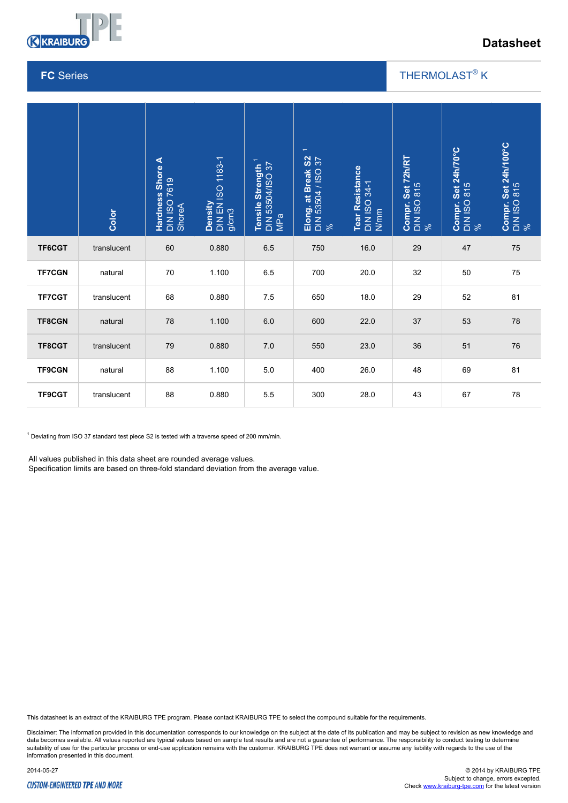

# **Datasheet**

### **FC** Series

## THERMOLAST<sup>®</sup> K

 $\overline{\phantom{a}}$ 

|                                                                                                                                                                                                                                                                            | Color       | Hardness Shore A<br>DIN ISO 7619<br>ShoreA | DIN EN ISO 1183-1<br>g/cm3<br>Density | Tensile Strength <sup>1</sup><br>DIN 53504/ISO 37<br>MPa | $\overline{\phantom{0}}$<br>$rac{2}{3}$<br>Elong. at Break S<br>DIN 53504 / ISO 3<br>% | Tear Resistance<br>DIN ISO 34-1<br>N/mm | Compr. Set 72h/RT<br>DIN ISO 815<br>% | Compr. Set 24h/70°C<br>DIN ISO 815<br>% | Compr. Set 24h/100°C<br>DIN ISO 815<br>% |
|----------------------------------------------------------------------------------------------------------------------------------------------------------------------------------------------------------------------------------------------------------------------------|-------------|--------------------------------------------|---------------------------------------|----------------------------------------------------------|----------------------------------------------------------------------------------------|-----------------------------------------|---------------------------------------|-----------------------------------------|------------------------------------------|
| TF6CGT                                                                                                                                                                                                                                                                     | translucent | 60                                         | 0.880                                 | 6.5                                                      | 750                                                                                    | 16.0                                    | 29                                    | $47\,$                                  | ${\bf 75}$                               |
| <b>TF7CGN</b>                                                                                                                                                                                                                                                              | natural     | 70                                         | 1.100                                 | 6.5                                                      | 700                                                                                    | 20.0                                    | 32                                    | 50                                      | 75                                       |
| <b>TF7CGT</b>                                                                                                                                                                                                                                                              | translucent | 68                                         | 0.880                                 | 7.5                                                      | 650                                                                                    | 18.0                                    | 29                                    | 52                                      | 81                                       |
| <b>TF8CGN</b>                                                                                                                                                                                                                                                              | natural     | 78                                         | 1.100                                 | 6.0                                                      | 600                                                                                    | 22.0                                    | 37                                    | 53                                      | 78                                       |
| TF8CGT                                                                                                                                                                                                                                                                     | translucent | 79                                         | 0.880                                 | 7.0                                                      | 550                                                                                    | 23.0                                    | 36                                    | 51                                      | ${\bf 76}$                               |
| <b>TF9CGN</b>                                                                                                                                                                                                                                                              | natural     | 88                                         | 1.100                                 | 5.0                                                      | 400                                                                                    | 26.0                                    | 48                                    | 69                                      | 81                                       |
| TF9CGT                                                                                                                                                                                                                                                                     | translucent | 88                                         | 0.880                                 | 5.5                                                      | 300                                                                                    | 28.0                                    | 43                                    | 67                                      | 78                                       |
| <sup>1</sup> Deviating from ISO 37 standard test piece S2 is tested with a traverse speed of 200 mm/min.<br>All values published in this data sheet are rounded average values.<br>Specification limits are based on three-fold standard deviation from the average value. |             |                                            |                                       |                                                          |                                                                                        |                                         |                                       |                                         |                                          |

This datasheet is an extract of the KRAIBURG TPE program. Please contact KRAIBURG TPE to select the compound suitable for the requirements.

Disclaimer: The information provided in this documentation corresponds to our knowledge on the subject at the date of its publication and may be subject to revision as new knowledge and data becomes available. All values reported are typical values based on sample test results and are not a guarantee of performance. The responsibility to conduct testing to determine<br>suitability of use for the particular p information presented in this document.